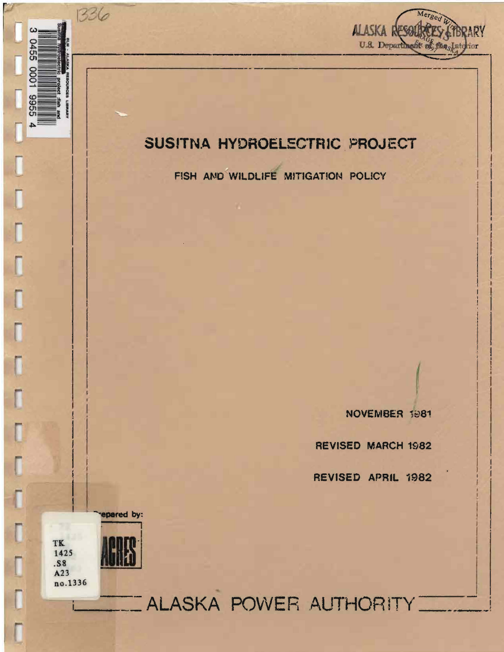

## SUSITNA HYDROELECTRIC PROJECT

FISH AND WILDLIFE MITIGATION POLICY

NOVEMBER 1981

**REVISED MARCH 1982** 

REVISED APRIL 1982

epared by:

1336

 $\omega$ 

9455

1000

9955

 $\overline{\phantom{a}}$ 

Γ

Γ

Γ

Γ

Ī

 $\overline{\Gamma}$ 

TK 1425 .S8  $A23$ no.1336

**LALASKA POWER AUTHORITY**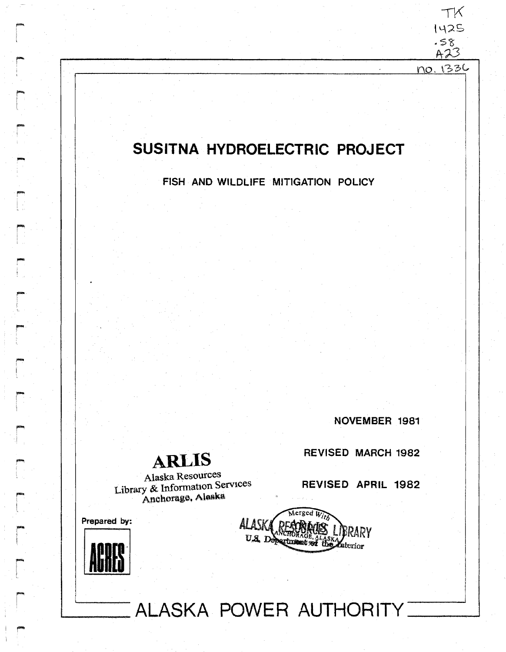## SUSITNA HYDROELECTRIC PROJECT

FISH AND WILDLIFE MITIGATION POLICY

NOVEMBER 1981

TK 1425  $.58$  $A23$ no. 1336

**ARLIS** 

Alaska Resources Library & Information Services Anchorage, Alaska

**REVISED MARCH 1982** 

REVISED APRIL 1982

Prepared by:



 $\widetilde{\Lambda}$ erged  $\widetilde{W_{ij}}$ **ALASA BRARY** U.S. Department of the  $\chi_{\rm{rerior}}$ 

ALASKA POWER AUTHORITY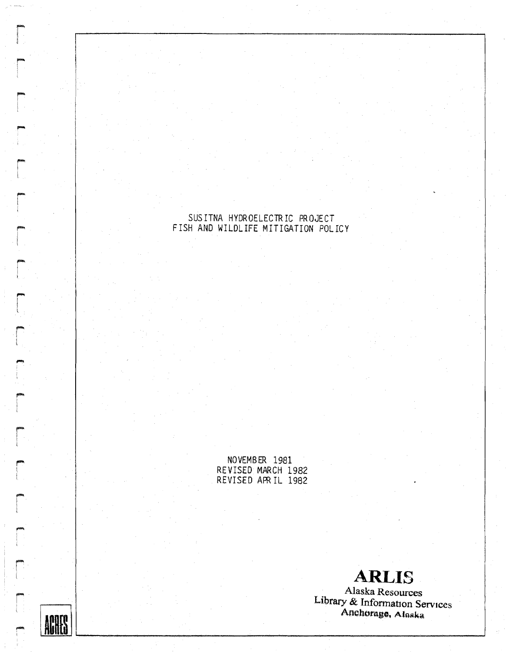# SUSITNA HYDROELECTRIC PROJECT<br>FISH AND WILDLIFE MITIGATION POLICY

NOVEMBER 1981 REVISED MARCH 1982 REVISED APRIL 1982

**ACATA** 

**ARLIS** 

Alaska Resources Library & Information Services Anchorage, Alaska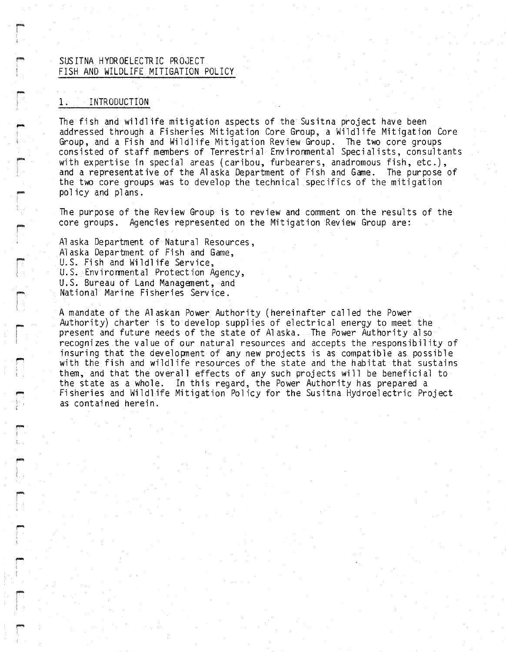### SUS ITNA HYDROELECTRIC PROJECT FISH AND WILDLIFE MITIGATION POLICY

#### INTRODUCTION  $1:$

The fish and wildlife mitigation aspects of the Susitna project have been addressed through a Fisheries Mitigation Core Group, a Wildlife Mitigation Core Group, and a Fish and Wildlife Mitigation Review Group. The two core groups consisted of staff members of Terrestrial Environmental Specialists, consultants with expertise in special areas (caribou, furbearers, anadromous fish, etc.), and a representative of the Alaska Department of Fish and Game. The purpose of the two core groups was to develop the technical specifics of the mitigation policy and plans.

The purpose of the Review Group is to review and comment on the results of the core groups. Agencies represented on the Mitigation Review Group are:

Alaska Department of Natural Resources, Alaska Department of Fish and Game, U.S. Fish and Wildlife Service, U.S. Environmental Protection Agency, U.S. Bureau of Land Management, and National Marine Fisheries Service.

A mandate of the Alaskan Power Authority (hereinafter called the Power Authority) charter is to develop supplies of electrical energy to meet the present and future needs of the state of Alaska. The Power Authority also recognizes the value of our natural resources and accepts the responsibility of insuring that the development of any new projects is as compatible as possible with the fish and wildlife resources of the state and the habitat that sustains them, and that the overall effects of any such projects will be beneficial to the state as a whole. In this regard, the Power Authority has prepared a Fisheries and Wildlife Mitigation Policy for the Susitna Hydroelectric Project as contained herein.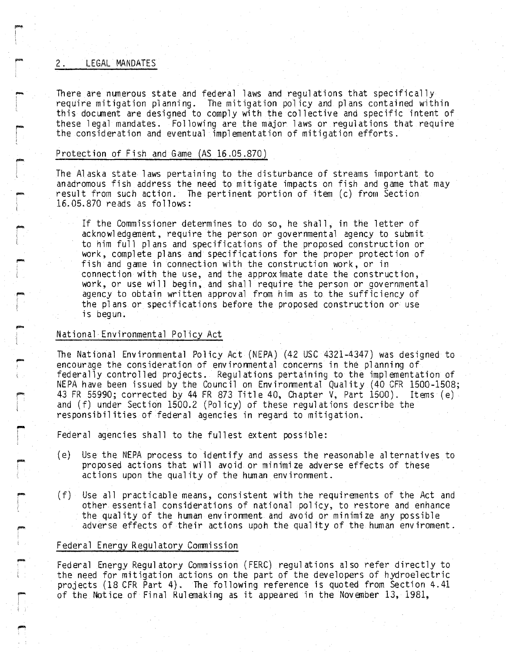#### 2. LEGAL MANDATES

-I

i""'" I |<br>|<br>! I

-,

r<br>|<br>|

in production. "'<br>}<br>{

-I !

-

There are numerous state and federal laws and regulations that specifically require mitigation planning. The mitigation policy and plans contained within this document are designed to comply with the collective and specific intent of these legal mandates. Following are the major laws or regulations that require the consideration and eventual implementation of mitigation efforts.

#### Protection of Fish and Game (AS 16.05.870)

The Al aska state 1aws pertaining to the disturbance of streams important to anadromous fish address the need to mitigate impacts on fish and game that may result from such action. The pertinent portion of item (c) from Section 16.05.870 reads as follows:

If the Commissioner determines to do so, he shall, in the letter of acknowl edgement, require the person or governmental agency to submit to him full pl ans and specifications of the proposed construction or work, complete plans and specifications for the proper protection of fish and game in connection with the construction work, or in connection with the use, and the approximate date the construction, work, or use will begin, and shall require the person or governmental agency to obtain written approval from him as to the sufficiency of the plans or specifications before the proposed construction or use is begun.

#### National Environmental Policy Act

The National Environmental Pol icy Act (NEPA) (42 USC 4321-4347) was designed to encourage the consideration of environmental concerns in the planning of federally controlled projects. Regulations pertaining to the implementation of NEPA have been issued by the Council on Environmental Quality (40 CFR 1500-1508; 43 FR 55990; corrected by 44 FR 873 Title 40, Chapter V, Part 1500). Items (e) and (f) under Section 1500.2 (Policy) of these regulations describe the responsibilities of federal agencies in regard to mitigation.

Federal agencies shall to the fullest extent possible:

- (e) Use the NEPA process to identify and assess the reasonable alternatives to proposed actions that will avoid or minimi ze adverse effects of these actions upon the qual ity of the human environment.
- (f) Use all practicable means, consistent with the requirenents of the Act and other essential considerations of national policy, to restore and enhance the quality of the human environment and avoid or minimize any possible adverse effects of their actions upoh the qual ity of the human enviroment.

#### Federal Energy Regulatory Commission

Federal Energy Regul atory Commission (FERC) regul ations al so refer directly to the need for mitigation actions on the part of the developers of hydroelectric<br>projects (18 CFR Part 4). The following reference is quoted from Section 4.41 of the Notice of Final Rulemaking as it appeared in the November 13, 1981,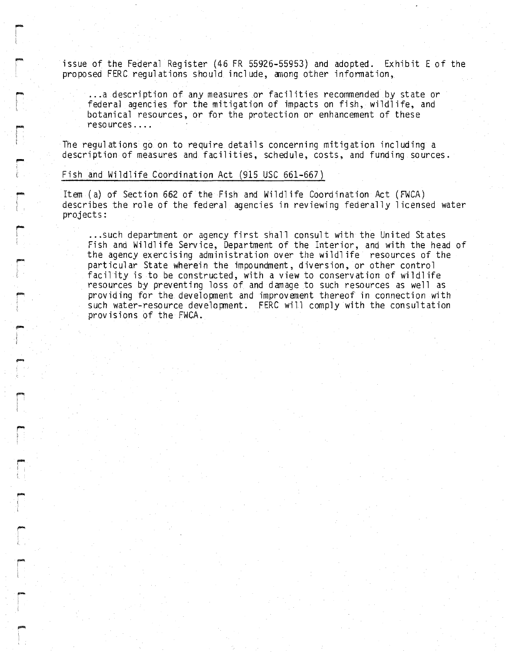issue of the Federal Register (46 FR 55926-55953) and adopted. Exhibit E of the proposed FERC regulations should include, among other information,

... <sup>a</sup> description of any measures or facilities recommended by state or federal agencies for the mitigation of impacts on fish, wildlife, and botanical resources, or for the protection or enhancement of these reso urces ....

The regulations go on to require details concerning mitigation including a description of measures and facilities, schedule, costs, and funding sources.

#### fiSh and Wildlife Coordination Act (915 USC 661-667)

**r** t

r

,.... I I

-

r<br>|<br>|

,- I i

rI

r-I <sup>I</sup> I

rI I

l" i

Item (a) of Section 662 of the Fish and Wildlife Coordination Act (FWCA) describes the role of the federal agencies in reviewing federally 1icensed water projects:

...such department or agency first shall consult with the United St ates Fish and Wildl ife Service, Department of the Interior, and with the head of the agency exercising administration over the wildlife resources of the particular State wherein the impoundment, diversion, or other control facility is to be constructed, with a view to conservation of wildlife resources by preventing loss of and damage to such resources as well as providing for the development and improvenent thereof in connection with such water-resource developnent. FERC will comply with the consultation provisions of the FWCA.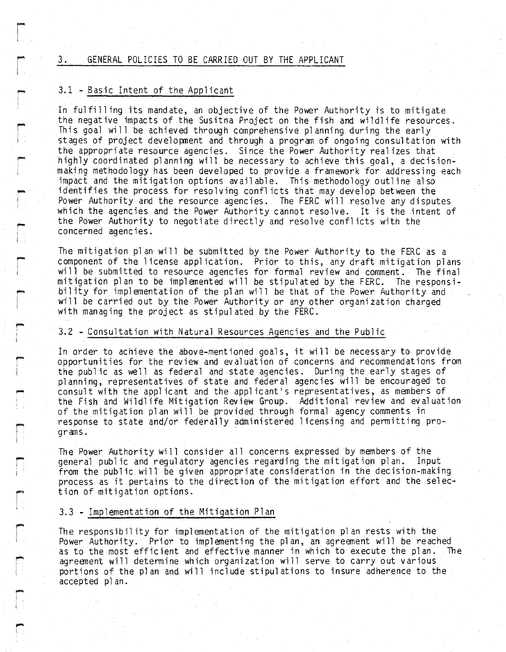#### 3. GENERAL POLICIES TO BE CARRIED OUT BY THE APPLICANT

#### 3.1 -Basic Intent of the Applicant

esta,<br>|<br>|-

 $\Gamma$ 

I

!""" , 1 i

I"'"  $\overline{\phantom{a}}$ 

-I

l

r<br>|<br>|  $\left\{ \right.$ 

r

....

r

r

-I

In fulfilling its mandate, an objective of the Power Authority is to mitigate the negative impacts of the Susitna Project on the fish and wildlife resources. This goal will be achieved through comprehensive pl anning during the early stages of project developnent and through a program of ongoing consultation with the appropriate resource agencies. Since the Power Authority real izes that highly coordinated planning will be necessary to achieve this goal, a decisionmaking methodology has been developed to provide a framework for addressing each impact and the mitigation options available. This methodology outline also identifies the process for resolving conflicts that may develop between the Power Authority and the resource agencies. The FERC will resolve any disputes wbich the agencies and the Power Authority cannot resolve. It is the intent of the Power Authority to negotiate directly and resolve conflicts with the concerned agencies.

The mitigation plan will be submitted by the Power Authority to the FERC as a component of the license appl ication. Prior to this, any draft mitigation plans will be submitted to resource agencies for formal review and comment. The final mitigation plan to be implemented will be stipulated by the FERC. The responsibility for implementation of the plan will be that of the Power Authority and will be carried out by the Power Authority or any other organization charged with managing the project as stipulated by the FERC.

#### 3.2 - Consultation with Natural Resources Agencies and the Public

In order to achieve the above-mentioned goals, it will be necessary to provide opportunities for the review and evaluation of concerns and recommendations from the public as well as federal and state agencies. During the early stages of planning, representatives of state and federal agencies will be encouraged to consult with the applicant and the applicant's representatives, as members of the Fish and Wildlife Mitigation Review Group. Additional review and evaluation of the mitigation plan will be provided through formal agency comments in response to state and/or federally administered licensing and permitting programs.

The Power Authority will consider all concerns expressed by members of the general public and regulatory agencies regarding the mitigation plan. Input general public and regulatory agencies regarding the mitigation plan. from the public will be given appropriate consideration in the decision-making process as it pertains to the direction of the mitigation effort and the selection of mitigation options.

#### 3.3 - Implementation of the Mitigation Plan

The responsibility for implementation of the mitigation plan rests with the Power Authority. Prior to implementing the plan, an agreement will be reached<br>as to the most efficient and effective manner in which to execute the plan. The as to the most efficient and effective manner in which to execute the plan. agreement will determine which organization will serve to carry out various portions of the pl an and will include stipulations to insure adherence to the accepted pl an.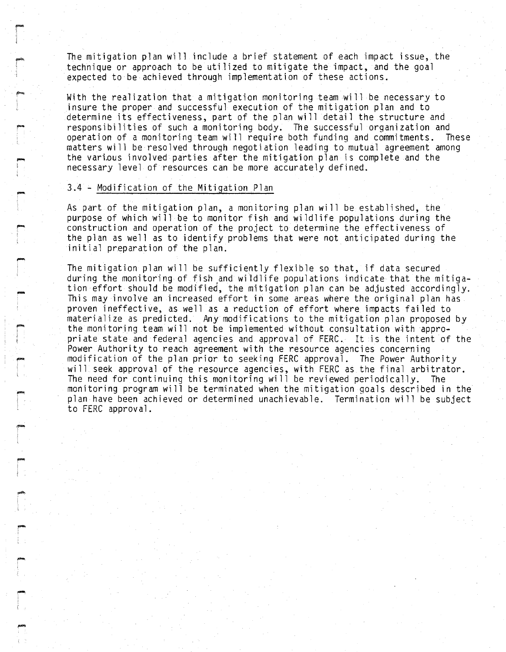The mitigation plan will include a brief statement of each impact issue, the technique or approach to be utilized to mitigate the impact, and the goal expected to be achieved through implementation of these actions.

With the realization that a mitigation monitoring team will be necessary to insure the proper and successful execution of the mitigation plan and to determine its effectiveness, part of the plan will detail the structure and responsibilities of such a monitoring body. The successful organization and<br>operation of a monitoring team will require both funding and commitments. These operation of a monitoring team will require both funding and commitments. matters will be resolved through negotiation leading to mutual agreement among the varinus involved parties after the mitigation plan is complete and the necessary level of resources can be more accurately defined.

#### 3.4 - Modification of the Mitigation Plan

'""" I

,.... i ! l

,~

-. !

. i

As part of the mitigation plan, a monitoring plan will be established, the purpose of which will be to monitor fish and wildlife populations during the construction and operation of the project to determine the effectiveness of the plan as well as to identify problems that were not anticipated during the initial preparation of the plan.

The mitigation plan will be sufficiently flexible so that, if data secured during the monitoring of fish and wildlife populations indicate that the mitigation effort should be modified, the mitigation plan can be adjusted accordingly. This may involve an increased effort in some areas where the original plan has proven ineffective, as well as a reduction of effort where impacts fai led to materialize as predicted. Any modifications to the mitigation plan proposed by the monitoring team will not be implemented without consultation with appropriate state and federal agencies and approval of FERC. It is the intent of the Power Authority to reach agreement with the resource agencies concerning modification of the plan prior to seeking FERC approval. The Power Authority will seek approval of the resource agencies, with FERC as the final arbitrator. The need for continuing this monitoring will be reviewed periodically. The monitoring program will be terminated when the mitigation goals described in the plan have been achieved or determined unachievable. Termination will be subject to FERC approval.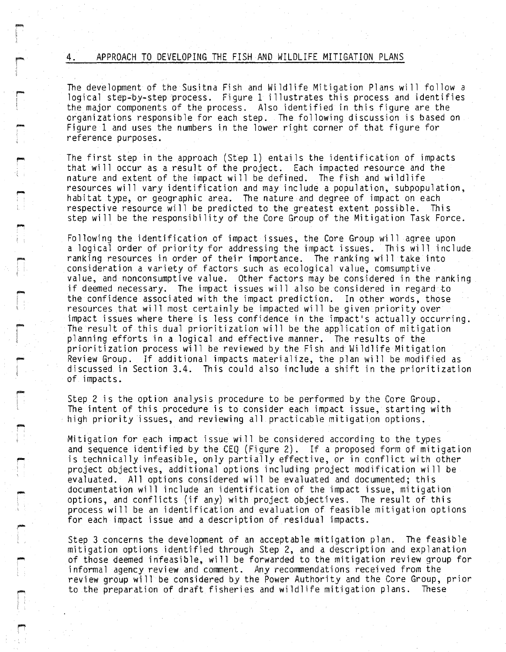#### 4. APPROACH TO DEVELOPING THE FISH AND WILDLIFE MITIGATION PLANS

r-I I

-

,....,

-

1"""

r<br>|<br>| j.<br>E

The development of the Susitna Fish and Wildlife Mitigation Plans will follow a logical step-by-step process. Figure 1 illustrates this process and identifies the major components of the process. Also identified in this figure are the organizations responsible for each step. The following discussion is based on Figure 1 and uses the numbers in the lower right corner of that figure for reference purposes.

The first step in the approach (Step 1) entails the identification of impacts that will occur as a result of the project. Each impacted resource and the nature and extent of the impact will be defined. The fish and wildlife resources will vary identification and may include a population, subpopulation, habitat type, or geographic area. The nature and degree of impact on each respective resource will be predicted to the greatest extent possible. This step will be the responsibility of the Core Group of the Mitigation Task Force.

Following the identification of impact issues, the Core Group will agree upon a logical order of priority for addressing the impact issues. This will include ranking resources in order of their importance. The ranking will take into consideration a variety of factors such as ecological value, comsumptive value, and nonconsumptive value. Other factors may be considered in the ranking if deemed necessary. The impact issues will also be considered in regard to the confidence associated with the impact prediction. In other words, those resources that will most certainly be impacted will be given priority over impact issues where there is less confidence in the impact's actually occurring. The result of this dual prioritization will be the application of mitigation planning efforts in a logical and effective manner. The results of the prioritization process will be reviewed by the Fish and Wildlife Mitigation Review Group. If additional impacts materialize, the plan will be modified as discussed in Section 3.4. This could also include a shift in the prioritization of impacts.

Step 2 is the option analysis procedure to be performed by the Core Group. The intent of this procedure is to consider each impact issue, starting with high priority issues, and reviewing all practicable mitigation options.

Mitigation for each impact issue will be considered according to the types and sequence identified by the CEQ (Figure 2). If a proposed form of mitigation is technically infeasible, only partially effective, or in conflict with other project objectives, additional options including project modification wi <sup>11</sup> be evaluated. All options considered will be evaluated and documented; this documentation will include an identification of the impact issue, mitigation options, and conflicts (if any) with project objectives. The result of this process will be an identification and evaluation of feasible mitigation options for each impact issue and a description of residual impacts.

Step 3 concerns the development of an acceptable mitigation plan. The feasible mitigation options identified through Step 2, and a description and explanation of those deemed infeasible, will be forwarded to the mitigation review group for informal agency review and comment. Any recommendations received from the review group will be considered by the Power Authority and the Core Group, prior to the preparation of draft fisheries and wildlife mitigation plans. These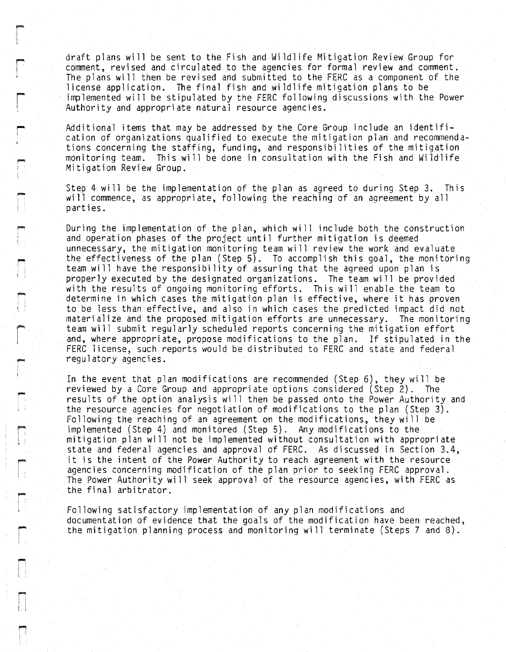draft plans will be sent to the Fish and Wildlife Mitigation Review Group for comment, revised and circulated to the agencies for formal review and comment. The plans will then be revised and submitted to the FERC as a component of the license application. The final fish and wildlife mitigation plans to be implemented will be stipulated by the FERC following discussions with the Power Authority and appropriate natural resource agencies.

**r** 

i I

> -, !

I""" I I

Additional items that may be addressed by the Core Group include an identification of organizations qualified to execute the mitigation plan and recommendations concerning the staffing, funding, and responsibilities of the mitigation monitoring team. This will be done in consultation with the Fish and Wild'life Mitigation Review Group.

Step 4 will be the implementation of the plan as agreed to during Step 3. This will commence, as appropriate, following the reaching of an agreement by all parties.

During the implementation of the plan, which will include both the construction and operation phases of the project until further mitigation is deemed unnecessary, the mitigation monitoring team will review the work and evaluate the effectiveness of the plan (Step 5). To accomplish this goal, the monitoring team will have the responsibility of assuring that the agreed upon plan is properly executed by the designated organizations. The team wi 11 be provided with the results of ongoing monitoring efforts. This will enable the team to determine in which cases the mitigation plan is effective, where it has proven to be less than effective, and also in which cases the predicted impact did not materialize and the proposed mitigation efforts are unnecessary. The monitoring team will submit regularly scheduled reports concerning the mitigation effort and, where appropriate, propose modifications to the plan. If stipulated in the FERC license, such reports would be distributed to FERC and state and federal regulatory agencies.

In the event that plan modifications are recommended (Step 6), they will be reviewed by a Core Group and appropriate options considered (Step 2). The results of the option analysis will then be passed onto the Power Authority and the resource agencies for negotiation of modifications to the plan (Step 3). Following the reaching of an agreement on the modifications, they will be implemented (Step 4) and monitored (Step 5). Any modifications to the mitigation plan will not be implemented without consultation with appropriate state and federal agencies and approval of FERC. As discussed in Section 3.4, it is the intent of the Power Authority to reach agreement with the resource agencies concerning modification of the plan prior to seeking FERC approval. The Power Authority will seek approval of the resource agencies, with FERC as the final arbitrator.

Following satisfactory implementation of any plan modifications and documentation of evidence that the goals of the modification have been reached, the mitigation planning process and monitoring will terminate (Steps 7 and 8).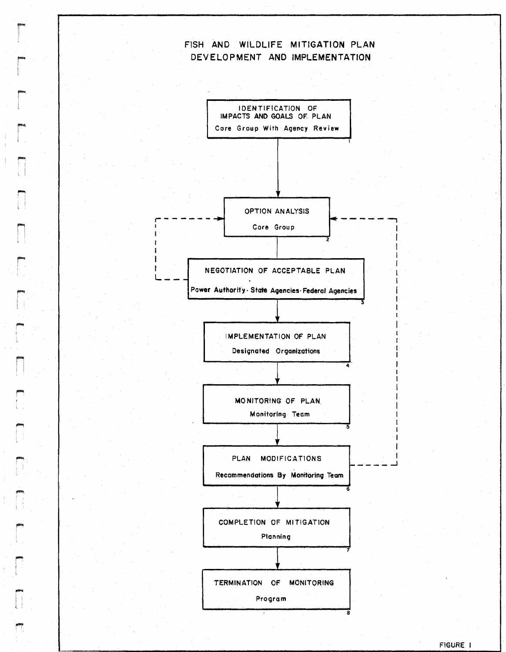